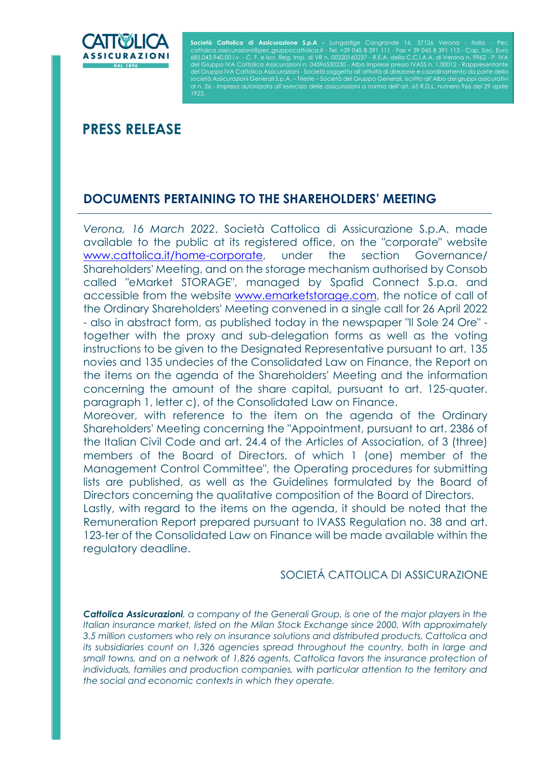

I

Società Cattolica di Assicurazione S.p.A - Lungadige Cangrande 16, 37126 Verona - Italia - Pec cattolica.assicurazioni@pec.gruppocattolica.it - Tel. +39 045 8 391 111 - Fax + 39 045 8 391 112 - Cap. Soc. Euro 685.043.940,00 i.v. - C. F. e iscr. Reg. Imp. di VR n. 00320160237 - R.E.A. della C.C.I.A.A. di Verona n. 9962 - P. IVA<br>del Gruppo IVA Cattolica Assicurazioni n. 04596530230 - Albo Imprese presso IVASS n. 1.00012 - Rappres del Gruppo IVA Cattolica Assicurazioni - Società soggetta all'attività di direzione e coordinamento da parte della età Assicurazioni Generali S.p.A. – Trieste – Società del Gruppo Generali, iscritto all'Albo dei aruppi assicurativi Impresa autorizzata all'esercizio delle assicurazioni a norma dell'art. 65 R.D.L. numero 966 del 29 aprile

# PRESS RELEASE

## DOCUMENTS PERTAINING TO THE SHAREHOLDERS' MEETING

Verona, 16 March 2022. Società Cattolica di Assicurazione S.p.A. made available to the public at its registered office, on the "corporate" website www.cattolica.it/home-corporate, under the section Governance/ Shareholders' Meeting, and on the storage mechanism authorised by Consob called "eMarket STORAGE", managed by Spafid Connect S.p.a. and accessible from the website www.emarketstorage.com, the notice of call of the Ordinary Shareholders' Meeting convened in a single call for 26 April 2022 - also in abstract form, as published today in the newspaper "Il Sole 24 Ore" together with the proxy and sub-delegation forms as well as the voting instructions to be given to the Designated Representative pursuant to art. 135 novies and 135 undecies of the Consolidated Law on Finance, the Report on the items on the agenda of the Shareholders' Meeting and the information concerning the amount of the share capital, pursuant to art. 125-quater. paragraph 1, letter c), of the Consolidated Law on Finance.

Moreover, with reference to the item on the agenda of the Ordinary Shareholders' Meeting concerning the "Appointment, pursuant to art. 2386 of the Italian Civil Code and art. 24.4 of the Articles of Association, of 3 (three) members of the Board of Directors, of which 1 (one) member of the Management Control Committee", the Operating procedures for submitting lists are published, as well as the Guidelines formulated by the Board of Directors concerning the qualitative composition of the Board of Directors.

Lastly, with regard to the items on the agenda, it should be noted that the Remuneration Report prepared pursuant to IVASS Regulation no. 38 and art. 123-ter of the Consolidated Law on Finance will be made available within the regulatory deadline.

### SOCIETÁ CATTOLICA DI ASSICURAZIONE

**Cattolica Assicurazioni**, a company of the Generali Group, is one of the major players in the Italian insurance market, listed on the Milan Stock Exchange since 2000. With approximately 3.5 million customers who rely on insurance solutions and distributed products, Cattolica and its subsidiaries count on 1,326 agencies spread throughout the country, both in large and small towns, and on a network of 1,826 agents. Cattolica favors the insurance protection of individuals, families and production companies, with particular attention to the territory and the social and economic contexts in which they operate.